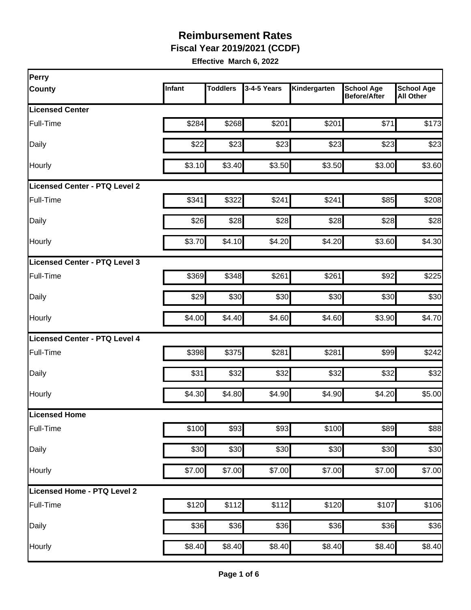**Fiscal Year 2019/2021 (CCDF)**

| Perry                         |        |                 |                  |              |                                          |                                       |
|-------------------------------|--------|-----------------|------------------|--------------|------------------------------------------|---------------------------------------|
| <b>County</b>                 | Infant | <b>Toddlers</b> | 3-4-5 Years      | Kindergarten | <b>School Age</b><br><b>Before/After</b> | <b>School Age</b><br><b>All Other</b> |
| <b>Licensed Center</b>        |        |                 |                  |              |                                          |                                       |
| Full-Time                     | \$284  | \$268           | \$201            | \$201        | \$71                                     | \$173                                 |
| Daily                         | \$22   | \$23            | \$23             | \$23         | \$23                                     | \$23                                  |
| Hourly                        | \$3.10 | \$3.40          | \$3.50           | \$3.50       | \$3.00                                   | \$3.60                                |
| Licensed Center - PTQ Level 2 |        |                 |                  |              |                                          |                                       |
| Full-Time                     | \$341  | \$322           | \$241            | \$241        | \$85                                     | \$208                                 |
| Daily                         | \$26   | \$28            | \$28             | \$28         | \$28                                     | \$28                                  |
| Hourly                        | \$3.70 | \$4.10          | \$4.20           | \$4.20       | \$3.60                                   | \$4.30                                |
| Licensed Center - PTQ Level 3 |        |                 |                  |              |                                          |                                       |
| Full-Time                     | \$369  | \$348           | \$261            | \$261        | \$92                                     | \$225                                 |
| Daily                         | \$29   | \$30            | \$30             | \$30         | \$30                                     | \$30                                  |
| Hourly                        | \$4.00 | \$4.40          | \$4.60           | \$4.60       | \$3.90                                   | \$4.70                                |
| Licensed Center - PTQ Level 4 |        |                 |                  |              |                                          |                                       |
| Full-Time                     | \$398  | \$375           | \$281            | \$281        | \$99                                     | \$242                                 |
| Daily                         | \$31   | \$32            | \$32             | \$32         | \$32                                     | \$32                                  |
| Hourly                        | \$4.30 | \$4.80          | \$4.90           | \$4.90       | \$4.20                                   | \$5.00                                |
| Licensed Home                 |        |                 |                  |              |                                          |                                       |
| Full-Time                     | \$100  | \$93            | \$93             | \$100        | \$89                                     | \$88                                  |
| Daily                         | \$30   | \$30            | \$30             | \$30         | \$30                                     | \$30                                  |
| Hourly                        | \$7.00 | \$7.00          | \$7.00           | \$7.00       | \$7.00                                   | \$7.00                                |
| Licensed Home - PTQ Level 2   |        |                 |                  |              |                                          |                                       |
| Full-Time                     | \$120  | \$112           | \$112            | \$120        | \$107                                    | \$106                                 |
| Daily                         | \$36   | \$36            | $\overline{$}36$ | \$36         | \$36                                     | \$36                                  |
| Hourly                        | \$8.40 | \$8.40          | \$8.40           | \$8.40       | \$8.40                                   | \$8.40                                |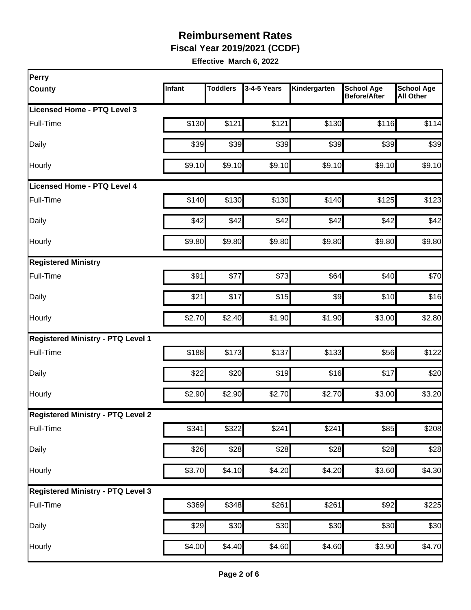**Fiscal Year 2019/2021 (CCDF)**

| Infant | <b>Toddlers</b> | 3-4-5 Years             | Kindergarten                                                                                                                         | <b>School Age</b><br><b>Before/After</b> | <b>School Age</b><br><b>All Other</b>                                                                                                               |
|--------|-----------------|-------------------------|--------------------------------------------------------------------------------------------------------------------------------------|------------------------------------------|-----------------------------------------------------------------------------------------------------------------------------------------------------|
|        |                 |                         |                                                                                                                                      |                                          |                                                                                                                                                     |
| \$130  | \$121           | \$121                   |                                                                                                                                      | \$116                                    | \$114                                                                                                                                               |
| \$39   |                 | \$39                    |                                                                                                                                      | \$39                                     | \$39                                                                                                                                                |
| \$9.10 |                 | \$9.10                  |                                                                                                                                      | \$9.10                                   | \$9.10                                                                                                                                              |
|        |                 |                         |                                                                                                                                      |                                          |                                                                                                                                                     |
| \$140  |                 | \$130                   |                                                                                                                                      | \$125                                    | \$123                                                                                                                                               |
| \$42   |                 | \$42                    |                                                                                                                                      | \$42                                     | \$42                                                                                                                                                |
| \$9.80 |                 | \$9.80                  |                                                                                                                                      | \$9.80                                   | \$9.80                                                                                                                                              |
|        |                 |                         |                                                                                                                                      |                                          |                                                                                                                                                     |
| \$91   | \$77            | \$73                    |                                                                                                                                      | \$40                                     | \$70                                                                                                                                                |
| \$21   | \$17            | \$15                    |                                                                                                                                      | \$10                                     | \$16                                                                                                                                                |
| \$2.70 |                 | \$1.90                  |                                                                                                                                      | \$3.00                                   | \$2.80                                                                                                                                              |
|        |                 |                         |                                                                                                                                      |                                          |                                                                                                                                                     |
| \$188  |                 | \$137                   |                                                                                                                                      | \$56                                     | \$122                                                                                                                                               |
| \$22   |                 | \$19                    |                                                                                                                                      | \$17                                     | \$20                                                                                                                                                |
| \$2.90 |                 | \$2.70                  |                                                                                                                                      | \$3.00                                   | \$3.20                                                                                                                                              |
|        |                 |                         |                                                                                                                                      |                                          |                                                                                                                                                     |
| \$341  |                 | \$241                   | \$241                                                                                                                                | \$85                                     | \$208                                                                                                                                               |
|        |                 | \$28                    |                                                                                                                                      | \$28                                     | \$28                                                                                                                                                |
| \$3.70 |                 | \$4.20                  |                                                                                                                                      | \$3.60                                   | \$4.30                                                                                                                                              |
|        |                 |                         |                                                                                                                                      |                                          |                                                                                                                                                     |
|        |                 | \$261                   |                                                                                                                                      | \$92                                     | \$225                                                                                                                                               |
| \$29   |                 | \$30                    |                                                                                                                                      | \$30                                     | \$30                                                                                                                                                |
|        |                 |                         |                                                                                                                                      | \$3.90                                   | \$4.70                                                                                                                                              |
|        |                 | \$26<br>\$369<br>\$4.00 | \$39<br>\$9.10<br>\$130<br>\$42<br>\$9.80<br>\$2.40<br>\$173<br>\$20<br>\$2.90<br>\$322<br>\$28<br>\$4.10<br>\$348<br>\$30<br>\$4.40 | \$4.60                                   | \$130<br>\$39<br>\$9.10<br>\$140<br>\$42<br>\$9.80<br>\$64<br>\$9<br>\$1.90<br>\$133<br>\$16<br>\$2.70<br>\$28<br>\$4.20<br>\$261<br>\$30<br>\$4.60 |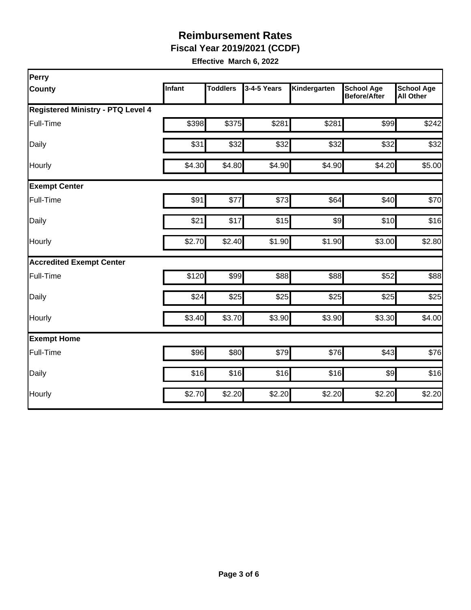**Fiscal Year 2019/2021 (CCDF)**

| Perry                                    |        |                 |             |              |                                          |                                       |
|------------------------------------------|--------|-----------------|-------------|--------------|------------------------------------------|---------------------------------------|
| County                                   | Infant | <b>Toddlers</b> | 3-4-5 Years | Kindergarten | <b>School Age</b><br><b>Before/After</b> | <b>School Age</b><br><b>All Other</b> |
| <b>Registered Ministry - PTQ Level 4</b> |        |                 |             |              |                                          |                                       |
| Full-Time                                | \$398  | \$375           | \$281       | \$281        | \$99                                     | \$242                                 |
| Daily                                    | \$31   | \$32            | \$32        | \$32         | \$32                                     | \$32                                  |
| Hourly                                   | \$4.30 | \$4.80          | \$4.90      | \$4.90       | \$4.20                                   | \$5.00                                |
| <b>Exempt Center</b>                     |        |                 |             |              |                                          |                                       |
| Full-Time                                | \$91   | \$77            | \$73        | \$64         | \$40                                     | \$70                                  |
| Daily                                    | \$21   | \$17            | \$15        | \$9          | \$10                                     | \$16                                  |
| Hourly                                   | \$2.70 | \$2.40          | \$1.90      | \$1.90       | \$3.00                                   | \$2.80                                |
| <b>Accredited Exempt Center</b>          |        |                 |             |              |                                          |                                       |
| Full-Time                                | \$120  | \$99            | \$88        | \$88         | \$52                                     | \$88                                  |
| Daily                                    | \$24   | \$25            | \$25        | \$25         | \$25                                     | \$25                                  |
| Hourly                                   | \$3.40 | \$3.70          | \$3.90      | \$3.90       | \$3.30                                   | \$4.00                                |
| <b>Exempt Home</b>                       |        |                 |             |              |                                          |                                       |
| Full-Time                                | \$96   | \$80            | \$79        | \$76         | \$43                                     | \$76                                  |
| Daily                                    | \$16   | \$16            | \$16        | \$16         | $\frac{1}{9}$                            | \$16                                  |
| Hourly                                   | \$2.70 | \$2.20          | \$2.20      | \$2.20       | \$2.20                                   | \$2.20                                |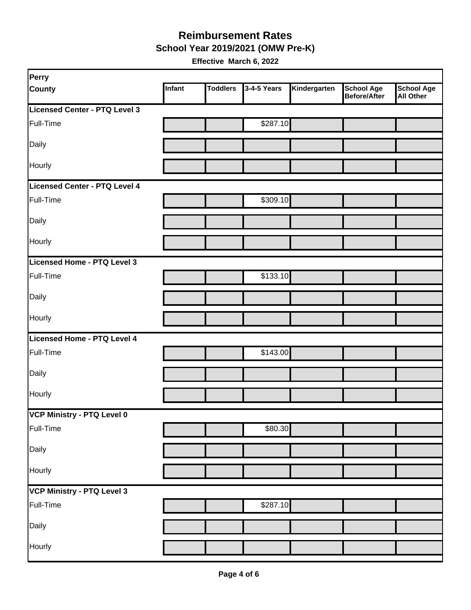**School Year 2019/2021 (OMW Pre-K)**

| Perry                         |        |                 |             |              |                                          |                         |
|-------------------------------|--------|-----------------|-------------|--------------|------------------------------------------|-------------------------|
| <b>County</b>                 | Infant | <b>Toddlers</b> | 3-4-5 Years | Kindergarten | <b>School Age</b><br><b>Before/After</b> | School Age<br>All Other |
| Licensed Center - PTQ Level 3 |        |                 |             |              |                                          |                         |
| Full-Time                     |        |                 | \$287.10    |              |                                          |                         |
| Daily                         |        |                 |             |              |                                          |                         |
| Hourly                        |        |                 |             |              |                                          |                         |
| Licensed Center - PTQ Level 4 |        |                 |             |              |                                          |                         |
| Full-Time                     |        |                 | \$309.10    |              |                                          |                         |
| Daily                         |        |                 |             |              |                                          |                         |
| Hourly                        |        |                 |             |              |                                          |                         |
| Licensed Home - PTQ Level 3   |        |                 |             |              |                                          |                         |
| Full-Time                     |        |                 | \$133.10    |              |                                          |                         |
| Daily                         |        |                 |             |              |                                          |                         |
| Hourly                        |        |                 |             |              |                                          |                         |
| Licensed Home - PTQ Level 4   |        |                 |             |              |                                          |                         |
| Full-Time                     |        |                 | \$143.00    |              |                                          |                         |
| Daily                         |        |                 |             |              |                                          |                         |
| Hourly                        |        |                 |             |              |                                          |                         |
| VCP Ministry - PTQ Level 0    |        |                 |             |              |                                          |                         |
| Full-Time                     |        |                 | \$80.30     |              |                                          |                         |
| Daily                         |        |                 |             |              |                                          |                         |
| Hourly                        |        |                 |             |              |                                          |                         |
| VCP Ministry - PTQ Level 3    |        |                 |             |              |                                          |                         |
| Full-Time                     |        |                 | \$287.10    |              |                                          |                         |
| Daily                         |        |                 |             |              |                                          |                         |
| Hourly                        |        |                 |             |              |                                          |                         |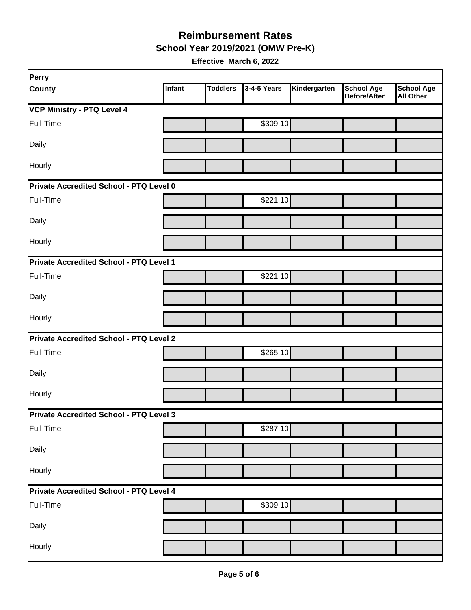**School Year 2019/2021 (OMW Pre-K)**

| Perry                                   |        |                 |             |              |                                          |                                       |  |  |
|-----------------------------------------|--------|-----------------|-------------|--------------|------------------------------------------|---------------------------------------|--|--|
| <b>County</b>                           | Infant | <b>Toddlers</b> | 3-4-5 Years | Kindergarten | <b>School Age</b><br><b>Before/After</b> | <b>School Age</b><br><b>All Other</b> |  |  |
| <b>VCP Ministry - PTQ Level 4</b>       |        |                 |             |              |                                          |                                       |  |  |
| Full-Time                               |        |                 | \$309.10    |              |                                          |                                       |  |  |
| Daily                                   |        |                 |             |              |                                          |                                       |  |  |
| Hourly                                  |        |                 |             |              |                                          |                                       |  |  |
| Private Accredited School - PTQ Level 0 |        |                 |             |              |                                          |                                       |  |  |
| Full-Time                               |        |                 | \$221.10    |              |                                          |                                       |  |  |
| Daily                                   |        |                 |             |              |                                          |                                       |  |  |
| Hourly                                  |        |                 |             |              |                                          |                                       |  |  |
| Private Accredited School - PTQ Level 1 |        |                 |             |              |                                          |                                       |  |  |
| Full-Time                               |        |                 | \$221.10    |              |                                          |                                       |  |  |
| Daily                                   |        |                 |             |              |                                          |                                       |  |  |
| Hourly                                  |        |                 |             |              |                                          |                                       |  |  |
| Private Accredited School - PTQ Level 2 |        |                 |             |              |                                          |                                       |  |  |
| Full-Time                               |        |                 | \$265.10    |              |                                          |                                       |  |  |
| Daily                                   |        |                 |             |              |                                          |                                       |  |  |
| Hourly                                  |        |                 |             |              |                                          |                                       |  |  |
| Private Accredited School - PTQ Level 3 |        |                 |             |              |                                          |                                       |  |  |
| Full-Time                               |        |                 | \$287.10    |              |                                          |                                       |  |  |
| Daily                                   |        |                 |             |              |                                          |                                       |  |  |
| Hourly                                  |        |                 |             |              |                                          |                                       |  |  |
| Private Accredited School - PTQ Level 4 |        |                 |             |              |                                          |                                       |  |  |
| Full-Time                               |        |                 | \$309.10    |              |                                          |                                       |  |  |
| Daily                                   |        |                 |             |              |                                          |                                       |  |  |
| Hourly                                  |        |                 |             |              |                                          |                                       |  |  |